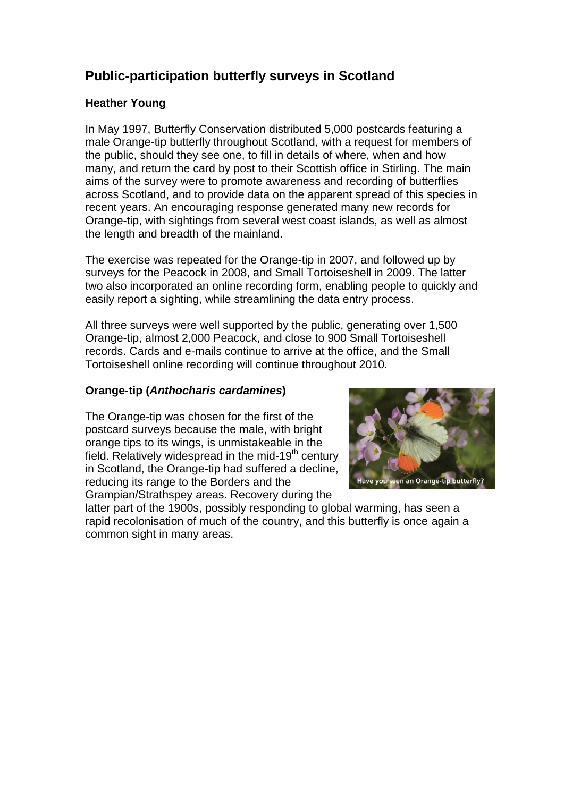# **Public-participation butterfly surveys in Scotland**

## **Heather Young**

In May 1997, Butterfly Conservation distributed 5,000 postcards featuring a male Orange-tip butterfly throughout Scotland, with a request for members of the public, should they see one, to fill in details of where, when and how many, and return the card by post to their Scottish office in Stirling. The main aims of the survey were to promote awareness and recording of butterflies across Scotland, and to provide data on the apparent spread of this species in recent years. An encouraging response generated many new records for Orange-tip, with sightings from several west coast islands, as well as almost the length and breadth of the mainland.

The exercise was repeated for the Orange-tip in 2007, and followed up by surveys for the Peacock in 2008, and Small Tortoiseshell in 2009. The latter two also incorporated an online recording form, enabling people to quickly and easily report a sighting, while streamlining the data entry process.

All three surveys were well supported by the public, generating over 1,500 Orange-tip, almost 2,000 Peacock, and close to 900 Small Tortoiseshell records. Cards and e-mails continue to arrive at the office, and the Small Tortoiseshell online recording will continue throughout 2010.

### **Orange-tip (***Anthocharis cardamines***)**

The Orange-tip was chosen for the first of the postcard surveys because the male, with bright orange tips to its wings, is unmistakeable in the field. Relatively widespread in the mid-19<sup>th</sup> century in Scotland, the Orange-tip had suffered a decline, reducing its range to the Borders and the Grampian/Strathspey areas. Recovery during the



latter part of the 1900s, possibly responding to global warming, has seen a rapid recolonisation of much of the country, and this butterfly is once again a common sight in many areas.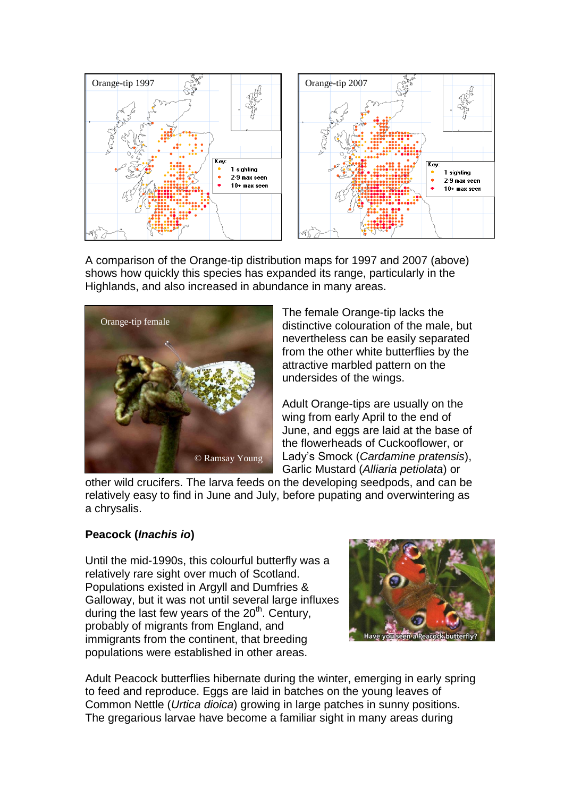

A comparison of the Orange-tip distribution maps for 1997 and 2007 (above) shows how quickly this species has expanded its range, particularly in the Highlands, and also increased in abundance in many areas.



The female Orange-tip lacks the distinctive colouration of the male, but nevertheless can be easily separated from the other white butterflies by the attractive marbled pattern on the undersides of the wings.

Adult Orange-tips are usually on the wing from early April to the end of June, and eggs are laid at the base of the flowerheads of Cuckooflower, or Lady's Smock (*Cardamine pratensis*), Garlic Mustard (*Alliaria petiolata*) or

other wild crucifers. The larva feeds on the developing seedpods, and can be relatively easy to find in June and July, before pupating and overwintering as a chrysalis.

# **Peacock (***Inachis io***)**

Until the mid-1990s, this colourful butterfly was a relatively rare sight over much of Scotland. Populations existed in Argyll and Dumfries & Galloway, but it was not until several large influxes during the last few years of the  $20<sup>th</sup>$ . Century, probably of migrants from England, and immigrants from the continent, that breeding populations were established in other areas.



Adult Peacock butterflies hibernate during the winter, emerging in early spring to feed and reproduce. Eggs are laid in batches on the young leaves of Common Nettle (*Urtica dioica*) growing in large patches in sunny positions. The gregarious larvae have become a familiar sight in many areas during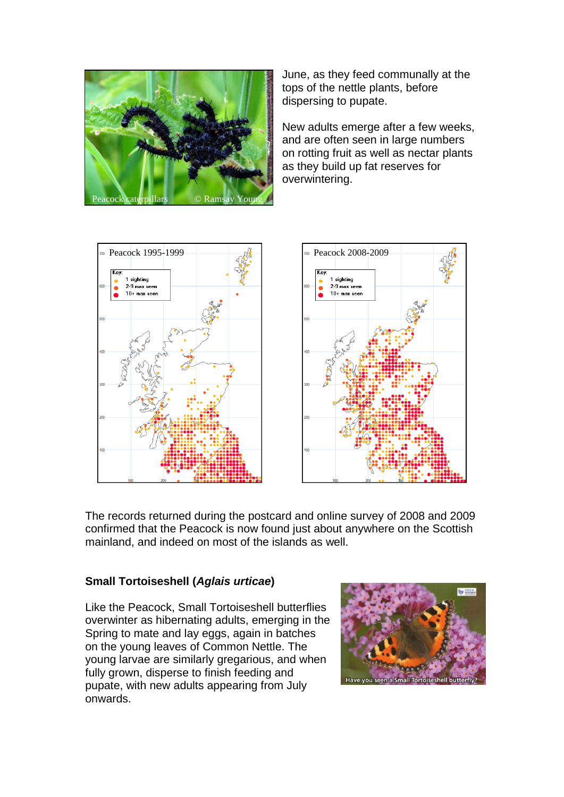

June, as they feed communally at the tops of the nettle plants, before dispersing to pupate.

New adults emerge after a few weeks, and are often seen in large numbers on rotting fruit as well as nectar plants as they build up fat reserves for overwintering.





The records returned during the postcard and online survey of 2008 and 2009 confirmed that the Peacock is now found just about anywhere on the Scottish mainland, and indeed on most of the islands as well.

### **Small Tortoiseshell (***Aglais urticae***)**

Like the Peacock, Small Tortoiseshell butterflies overwinter as hibernating adults, emerging in the Spring to mate and lay eggs, again in batches on the young leaves of Common Nettle. The young larvae are similarly gregarious, and when fully grown, disperse to finish feeding and pupate, with new adults appearing from July onwards.